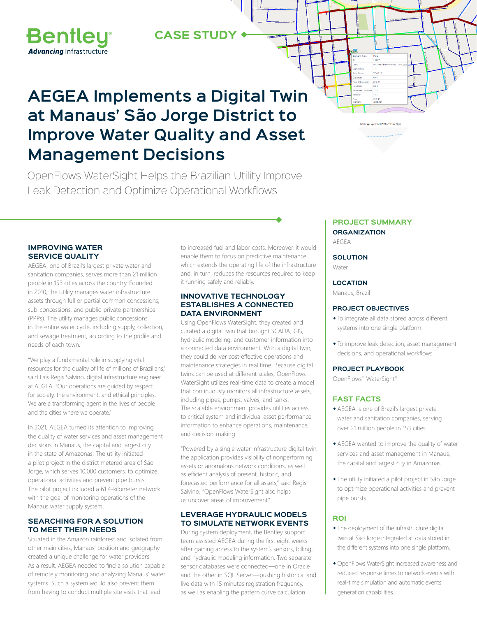## **CASE STUDY**

# **AEGEA Implements a Digital Twin at Manaus' São Jorge District to Improve Water Quality and Asset Management Decisions**

OpenFlows WaterSight Helps the Brazilian Utility Improve Leak Detection and Optimize Operational Workflows

#### **IMPROVING WATER SERVICE QUALITY**

**Bentley Advancing Infrastructure** 

AEGEA, one of Brazil's largest private water and sanitation companies, serves more than 21 million people in 153 cities across the country. Founded in 2010, the utility manages water infrastructure assets through full or partial common concessions, sub-concessions, and public-private partnerships (PPPs). The utility manages public concessions in the entire water cycle, including supply, collection, and sewage treatment, according to the profile and needs of each town.

"We play a fundamental role in supplying vital resources for the quality of life of millions of Brazilians," said Lais Regis Salvino, digital infrastructure engineer at AEGEA. "Our operations are guided by respect for society, the environment, and ethical principles. We are a transforming agent in the lives of people and the cities where we operate."

In 2021, AEGEA turned its attention to improving the quality of water services and asset management decisions in Manaus, the capital and largest city in the state of Amazonas. The utility initiated a pilot project in the district metered area of São Jorge, which serves 10,000 customers, to optimize operational activities and prevent pipe bursts. The pilot project included a 61.4-kilometer network with the goal of monitoring operations of the Manaus water supply system.

#### **SEARCHING FOR A SOLUTION TO MEET THEIR NEEDS**

Situated in the Amazon rainforest and isolated from other main cities, Manaus' position and geography created a unique challenge for water providers. As a result, AEGEA needed to find a solution capable of remotely monitoring and analyzing Manaus' water systems. Such a system would also prevent them from having to conduct multiple site visits that lead

to increased fuel and labor costs. Moreover, it would enable them to focus on predictive maintenance, which extends the operating life of the infrastructure and, in turn, reduces the resources required to keep it running safely and reliably.

#### **INNOVATIVE TECHNOLOGY ESTABLISHES A CONNECTED DATA ENVIRONMENT**

Using OpenFlows WaterSight, they created and curated a digital twin that brought SCADA, GIS, hydraulic modeling, and customer information into a connected data environment. With a digital twin, they could deliver cost-effective operations and maintenance strategies in real time. Because digital twins can be used at different scales, OpenFlows WaterSight utilizes real-time data to create a model that continuously monitors all infrastructure assets, including pipes, pumps, valves, and tanks. The scalable environment provides utilities access to critical system and individual asset performance information to enhance operations, maintenance, and decision-making.

"Powered by a single water infrastructure digital twin, the application provides visibility of nonperforming assets or anomalous network conditions, as well as efficient analysis of present, historic, and forecasted performance for all assets," said Regis Salvino. "OpenFlows WaterSight also helps us uncover areas of improvement."

#### **LEVERAGE HYDRAULIC MODELS TO SIMULATE NETWORK EVENTS**

During system deployment, the Bentley support team assisted AEGEA during the first eight weeks after gaining access to the system's sensors, billing, and hydraulic modeling information. Two separate sensor databases were connected—one in Oracle and the other in SQL Server—pushing historical and live data with 15 minutes registration frequency, as well as enabling the pattern curve calculation

#### **PROJECT SUMMARY ORGANIZATION**  AEGEA

.<br>400-F�F� (Polilinha)-1154(2)(2)

#### **SOLUTION Water**

#### **LOCATION**

Manaus, Brazil

#### **PROJECT OBJECTIVES**

- To integrate all data stored across different systems into one single platform.
- To improve leak detection, asset management decisions, and operational workflows.

### **PROJECT PLAYBOOK**

OpenFlows™ WaterSight®

#### **FAST FACTS**

- AEGEA is one of Brazil's largest private water and sanitation companies, serving over 21 million people in 153 cities.
- AEGEA wanted to improve the quality of water services and asset management in Manaus, the capital and largest city in Amazonas.
- The utility initiated a pilot project in São Jorge to optimize operational activities and prevent pipe bursts.

#### **ROI**

- The deployment of the infrastructure digital twin at São Jorge integrated all data stored in the different systems into one single platform.
- OpenFlows WaterSight increased awareness and reduced response times to network events with real-time simulation and automatic events generation capabilities.